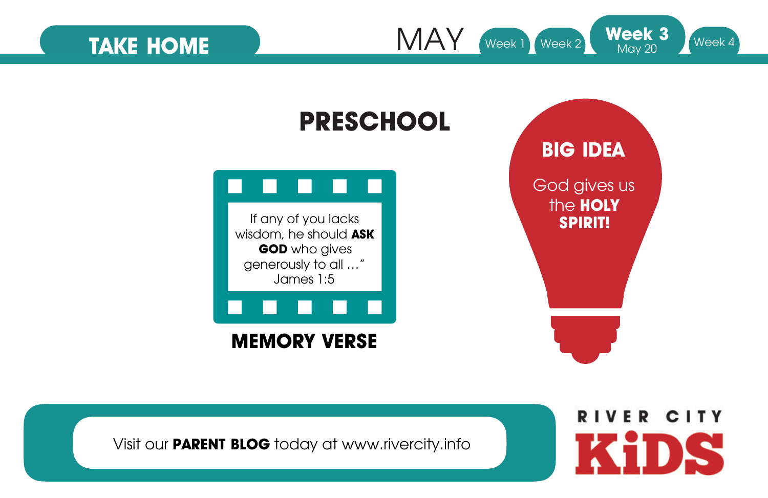MAY TAKE HOME MAY Week 1 Week 2 Week 3 Week 4



Visit our **PARENT BLOG** today at www.rivercity.info